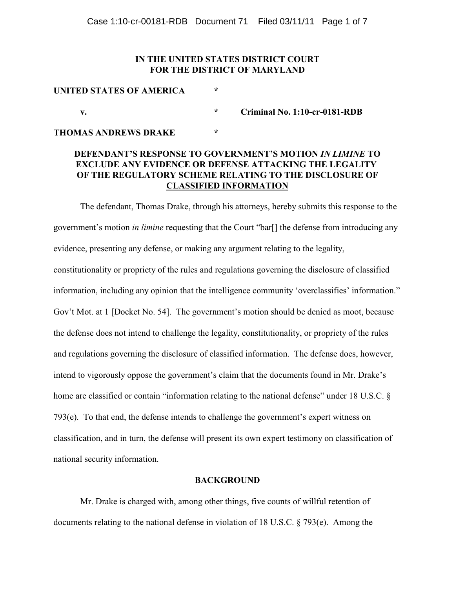# **IN THE UNITED STATES DISTRICT COURT FOR THE DISTRICT OF MARYLAND**

# **UNITED STATES OF AMERICA \* v. \* Criminal No. 1:10-cr-0181-RDB**

# **THOMAS ANDREWS DRAKE \***

# **DEFENDANT'S RESPONSE TO GOVERNMENT'S MOTION** *IN LIMINE* **TO EXCLUDE ANY EVIDENCE OR DEFENSE ATTACKING THE LEGALITY OF THE REGULATORY SCHEME RELATING TO THE DISCLOSURE OF CLASSIFIED INFORMATION**

The defendant, Thomas Drake, through his attorneys, hereby submits this response to the government's motion *in limine* requesting that the Court "bar[] the defense from introducing any evidence, presenting any defense, or making any argument relating to the legality, constitutionality or propriety of the rules and regulations governing the disclosure of classified information, including any opinion that the intelligence community 'overclassifies' information." Gov't Mot. at 1 [Docket No. 54]. The government's motion should be denied as moot, because the defense does not intend to challenge the legality, constitutionality, or propriety of the rules and regulations governing the disclosure of classified information. The defense does, however, intend to vigorously oppose the government's claim that the documents found in Mr. Drake's home are classified or contain "information relating to the national defense" under 18 U.S.C. § 793(e). To that end, the defense intends to challenge the government's expert witness on classification, and in turn, the defense will present its own expert testimony on classification of national security information.

## **BACKGROUND**

Mr. Drake is charged with, among other things, five counts of willful retention of documents relating to the national defense in violation of 18 U.S.C. § 793(e). Among the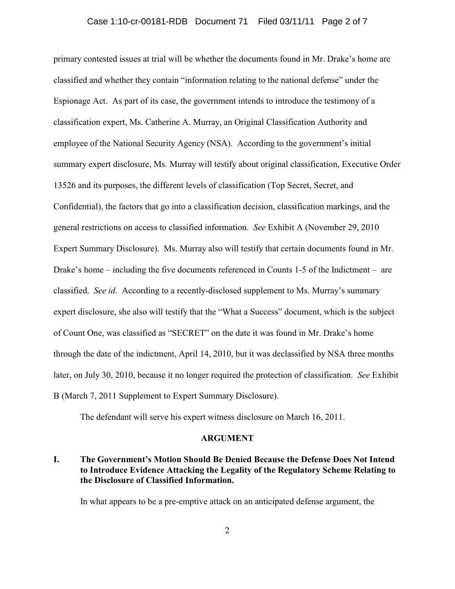primary contested issues at trial will be whether the documents found in Mr. Drake's home are classified and whether they contain "information relating to the national defense" under the Espionage Act. As part of its case, the government intends to introduce the testimony of a classification expert, Ms. Catherine A. Murray, an Original Classification Authority and employee of the National Security Agency (NSA). According to the government's initial summary expert disclosure, Ms. Murray will testify about original classification, Executive Order 13526 and its purposes, the different levels of classification (Top Secret, Secret, and Confidential), the factors that go into a classification decision, classification markings, and the general restrictions on access to classified information. *See* Exhibit A (November 29, 2010 Expert Summary Disclosure). Ms. Murray also will testify that certain documents found in Mr. Drake's home – including the five documents referenced in Counts 1-5 of the Indictment – are classified. *See id.* According to a recently-disclosed supplement to Ms. Murray's summary expert disclosure, she also will testify that the "What a Success" document, which is the subject of Count One, was classified as "SECRET" on the date it was found in Mr. Drake's home through the date of the indictment, April 14, 2010, but it was declassified by NSA three months later, on July 30, 2010, because it no longer required the protection of classification. *See* Exhibit B (March 7, 2011 Supplement to Expert Summary Disclosure).

The defendant will serve his expert witness disclosure on March 16, 2011.

#### **ARGUMENT**

# **I. The Government's Motion Should Be Denied Because the Defense Does Not Intend to Introduce Evidence Attacking the Legality of the Regulatory Scheme Relating to the Disclosure of Classified Information.**

In what appears to be a pre-emptive attack on an anticipated defense argument, the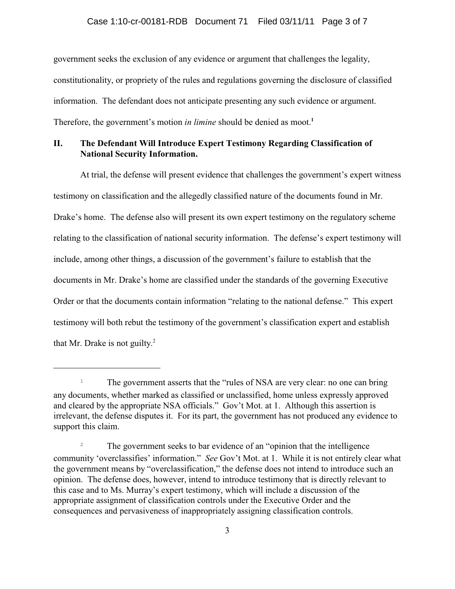government seeks the exclusion of any evidence or argument that challenges the legality, constitutionality, or propriety of the rules and regulations governing the disclosure of classified information. The defendant does not anticipate presenting any such evidence or argument. Therefore, the government's motion *in limine* should be denied as moot.**<sup>1</sup>**

# **II. The Defendant Will Introduce Expert Testimony Regarding Classification of National Security Information.**

At trial, the defense will present evidence that challenges the government's expert witness testimony on classification and the allegedly classified nature of the documents found in Mr. Drake's home. The defense also will present its own expert testimony on the regulatory scheme relating to the classification of national security information. The defense's expert testimony will include, among other things, a discussion of the government's failure to establish that the documents in Mr. Drake's home are classified under the standards of the governing Executive Order or that the documents contain information "relating to the national defense." This expert testimony will both rebut the testimony of the government's classification expert and establish that Mr. Drake is not guilty. $2^2$ 

<sup>&</sup>lt;sup>1</sup> The government asserts that the "rules of NSA are very clear: no one can bring  $\overline{1}$ any documents, whether marked as classified or unclassified, home unless expressly approved and cleared by the appropriate NSA officials." Gov't Mot. at 1. Although this assertion is irrelevant, the defense disputes it. For its part, the government has not produced any evidence to support this claim.

<sup>&</sup>lt;sup>2</sup> The government seeks to bar evidence of an "opinion that the intelligence" community 'overclassifies' information." *See* Gov't Mot. at 1. While it is not entirely clear what the government means by "overclassification," the defense does not intend to introduce such an opinion. The defense does, however, intend to introduce testimony that is directly relevant to this case and to Ms. Murray's expert testimony, which will include a discussion of the appropriate assignment of classification controls under the Executive Order and the consequences and pervasiveness of inappropriately assigning classification controls.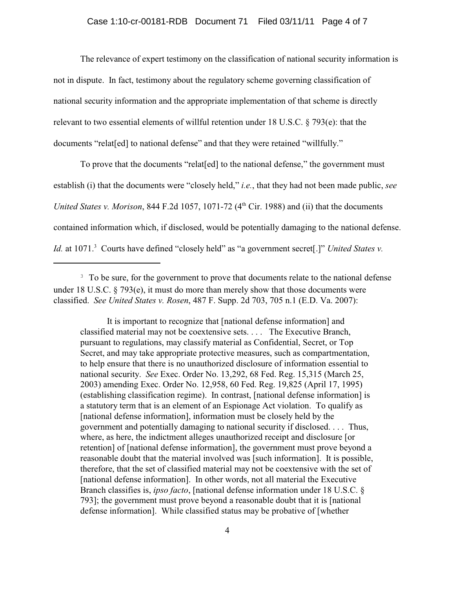The relevance of expert testimony on the classification of national security information is not in dispute. In fact, testimony about the regulatory scheme governing classification of national security information and the appropriate implementation of that scheme is directly relevant to two essential elements of willful retention under 18 U.S.C. § 793(e): that the documents "relat[ed] to national defense" and that they were retained "willfully."

To prove that the documents "relat[ed] to the national defense," the government must establish (i) that the documents were "closely held," *i.e.*, that they had not been made public, *see United States v. Morison,* 844 F.2d 1057, 1071-72  $(4<sup>th</sup> Cir. 1988)$  and (ii) that the documents contained information which, if disclosed, would be potentially damaging to the national defense. *Id.* at 1071.<sup>3</sup> Courts have defined "closely held" as "a government secret[.]" *United States v.* 

It is important to recognize that [national defense information] and classified material may not be coextensive sets. . . . The Executive Branch, pursuant to regulations, may classify material as Confidential, Secret, or Top Secret, and may take appropriate protective measures, such as compartmentation, to help ensure that there is no unauthorized disclosure of information essential to national security. *See* Exec. Order No. 13,292, 68 Fed. Reg. 15,315 (March 25, 2003) amending Exec. Order No. 12,958, 60 Fed. Reg. 19,825 (April 17, 1995) (establishing classification regime). In contrast, [national defense information] is a statutory term that is an element of an Espionage Act violation. To qualify as [national defense information], information must be closely held by the government and potentially damaging to national security if disclosed. . . . Thus, where, as here, the indictment alleges unauthorized receipt and disclosure [or retention] of [national defense information], the government must prove beyond a reasonable doubt that the material involved was [such information]. It is possible, therefore, that the set of classified material may not be coextensive with the set of [national defense information]. In other words, not all material the Executive Branch classifies is, *ipso facto*, [national defense information under 18 U.S.C. § 793]; the government must prove beyond a reasonable doubt that it is [national defense information]. While classified status may be probative of [whether

<sup>&</sup>lt;sup>3</sup> To be sure, for the government to prove that documents relate to the national defense under 18 U.S.C. § 793(e), it must do more than merely show that those documents were classified. *See United States v. Rosen*, 487 F. Supp. 2d 703, 705 n.1 (E.D. Va. 2007):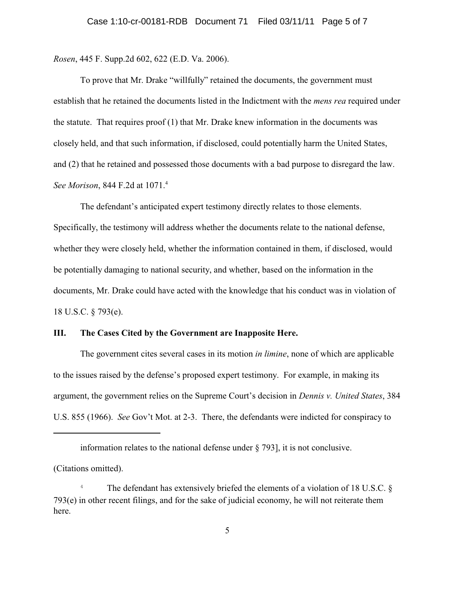*Rosen*, 445 F. Supp.2d 602, 622 (E.D. Va. 2006).

To prove that Mr. Drake "willfully" retained the documents, the government must establish that he retained the documents listed in the Indictment with the *mens rea* required under the statute. That requires proof (1) that Mr. Drake knew information in the documents was closely held, and that such information, if disclosed, could potentially harm the United States, and (2) that he retained and possessed those documents with a bad purpose to disregard the law. *See Morison*, 844 F.2d at 1071.<sup>4</sup>

The defendant's anticipated expert testimony directly relates to those elements. Specifically, the testimony will address whether the documents relate to the national defense, whether they were closely held, whether the information contained in them, if disclosed, would be potentially damaging to national security, and whether, based on the information in the documents, Mr. Drake could have acted with the knowledge that his conduct was in violation of 18 U.S.C. § 793(e).

## **III. The Cases Cited by the Government are Inapposite Here.**

The government cites several cases in its motion *in limine*, none of which are applicable to the issues raised by the defense's proposed expert testimony. For example, in making its argument, the government relies on the Supreme Court's decision in *Dennis v. United States*, 384 U.S. 855 (1966). *See* Gov't Mot. at 2-3. There, the defendants were indicted for conspiracy to

information relates to the national defense under § 793], it is not conclusive.

(Citations omitted).

<sup>&</sup>lt;sup>4</sup> The defendant has extensively briefed the elements of a violation of 18 U.S.C. § 793(e) in other recent filings, and for the sake of judicial economy, he will not reiterate them here.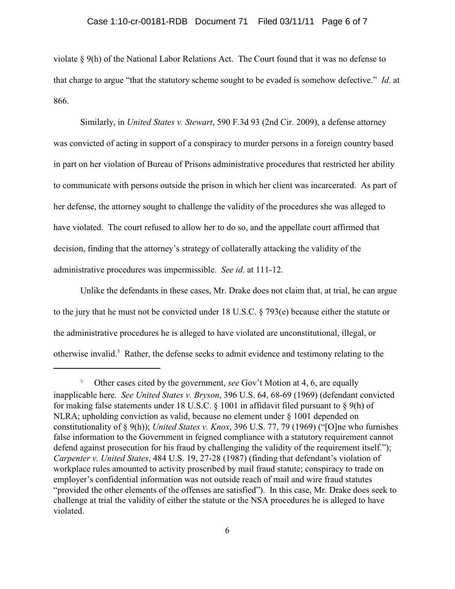## Case 1:10-cr-00181-RDB Document 71 Filed 03/11/11 Page 6 of 7

violate § 9(h) of the National Labor Relations Act. The Court found that it was no defense to that charge to argue "that the statutory scheme sought to be evaded is somehow defective." *Id*. at 866.

Similarly, in *United States v. Stewart*, 590 F.3d 93 (2nd Cir. 2009), a defense attorney was convicted of acting in support of a conspiracy to murder persons in a foreign country based in part on her violation of Bureau of Prisons administrative procedures that restricted her ability to communicate with persons outside the prison in which her client was incarcerated. As part of her defense, the attorney sought to challenge the validity of the procedures she was alleged to have violated. The court refused to allow her to do so, and the appellate court affirmed that decision, finding that the attorney's strategy of collaterally attacking the validity of the administrative procedures was impermissible. *See id*. at 111-12.

Unlike the defendants in these cases, Mr. Drake does not claim that, at trial, he can argue to the jury that he must not be convicted under 18 U.S.C. § 793(e) because either the statute or the administrative procedures he is alleged to have violated are unconstitutional, illegal, or otherwise invalid.<sup>5</sup> Rather, the defense seeks to admit evidence and testimony relating to the

<sup>&</sup>lt;sup>5</sup> Other cases cited by the government, *see* Gov't Motion at 4, 6, are equally inapplicable here. *See United States v. Bryson*, 396 U.S. 64, 68-69 (1969) (defendant convicted for making false statements under 18 U.S.C. § 1001 in affidavit filed pursuant to § 9(h) of NLRA; upholding conviction as valid, because no element under § 1001 depended on constitutionality of § 9(h)); *United States v. Knox*, 396 U.S. 77, 79 (1969) ("[O]ne who furnishes false information to the Government in feigned compliance with a statutory requirement cannot defend against prosecution for his fraud by challenging the validity of the requirement itself."); *Carpenter v. United States*, 484 U.S. 19, 27-28 (1987) (finding that defendant's violation of workplace rules amounted to activity proscribed by mail fraud statute; conspiracy to trade on employer's confidential information was not outside reach of mail and wire fraud statutes "provided the other elements of the offenses are satisfied"). In this case, Mr. Drake does seek to challenge at trial the validity of either the statute or the NSA procedures he is alleged to have violated.